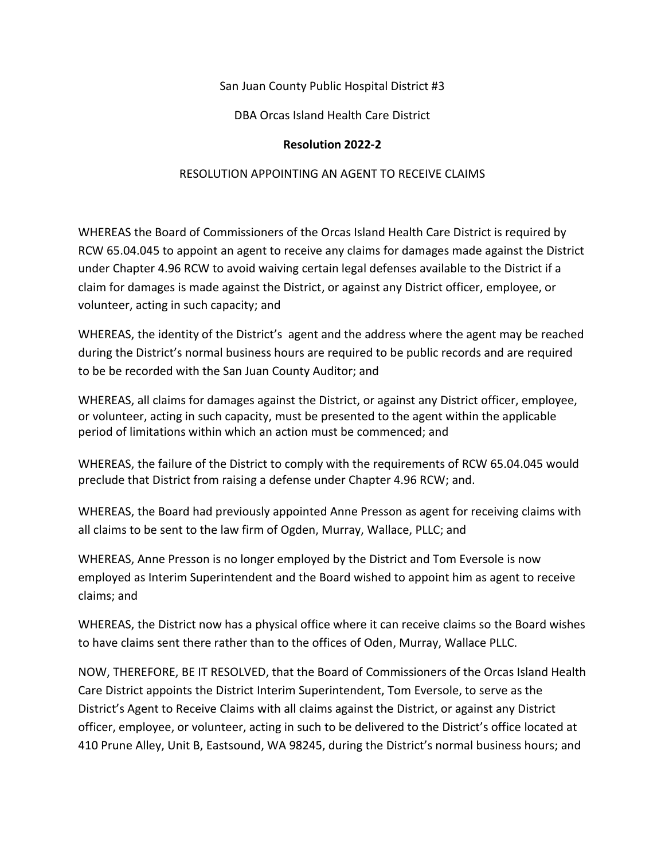San Juan County Public Hospital District #3

DBA Orcas Island Health Care District

## **Resolution 2022-2**

## RESOLUTION APPOINTING AN AGENT TO RECEIVE CLAIMS

WHEREAS the Board of Commissioners of the Orcas Island Health Care District is required by RCW [65.04.045](http://apps.leg.wa.gov/rcw/?cite=65.04.045) to appoint an agent to receive any claims for damages made against the District under Chapter 4.96 RCW to avoid waiving certain legal defenses available to the District if a claim for damages is made against the District, or against any District officer, employee, or volunteer, acting in such capacity; and

WHEREAS, the identity of the District's agent and the address where the agent may be reached during the District's normal business hours are required to be public records and are required to be be recorded with the San Juan County Auditor; and

WHEREAS, all claims for damages against the District, or against any District officer, employee, or volunteer, acting in such capacity, must be presented to the agent within the applicable period of limitations within which an action must be commenced; and

WHEREAS, the failure of the District to comply with the requirements of RCW 65.04.045 would preclude that District from raising a defense under Chapter 4.96 RCW; and.

WHEREAS, the Board had previously appointed Anne Presson as agent for receiving claims with all claims to be sent to the law firm of Ogden, Murray, Wallace, PLLC; and

WHEREAS, Anne Presson is no longer employed by the District and Tom Eversole is now employed as Interim Superintendent and the Board wished to appoint him as agent to receive claims; and

WHEREAS, the District now has a physical office where it can receive claims so the Board wishes to have claims sent there rather than to the offices of Oden, Murray, Wallace PLLC.

NOW, THEREFORE, BE IT RESOLVED, that the Board of Commissioners of the Orcas Island Health Care District appoints the District Interim Superintendent, Tom Eversole, to serve as the District's Agent to Receive Claims with all claims against the District, or against any District officer, employee, or volunteer, acting in such to be delivered to the District's office located at [410 Prune Alley, Unit B,](https://maps.google.com/?q=901+Fifth+Ave.,+Suite+3500+Seattle,+WA+98164&entry=gmail&source=g) Eastsound, WA 98245, during the District's normal business hours; and